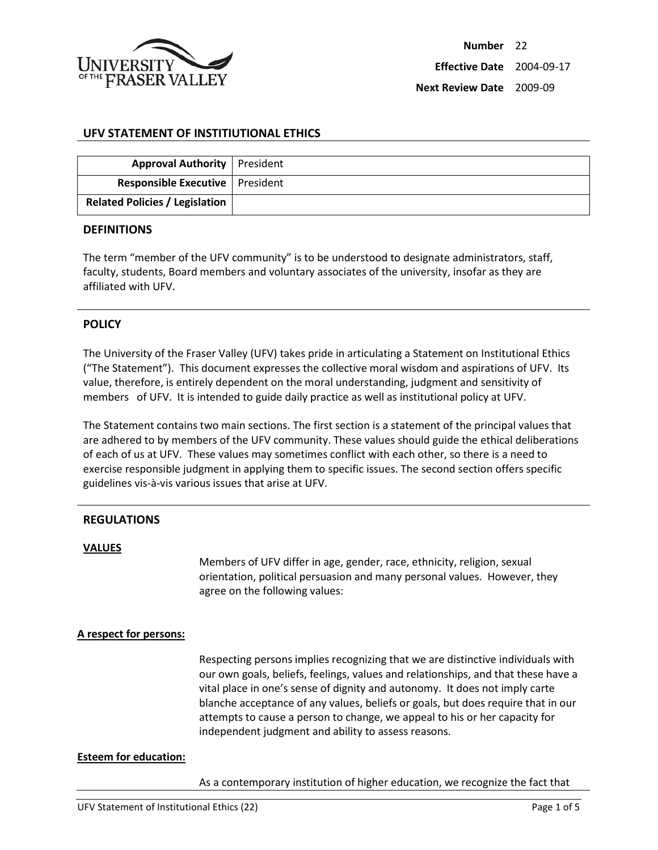

# **UFV STATEMENT OF INSTITIUTIONAL ETHICS**

| <b>Approval Authority</b>   President    |  |
|------------------------------------------|--|
| <b>Responsible Executive   President</b> |  |
| <b>Related Policies / Legislation</b>    |  |

### **DEFINITIONS**

The term "member of the UFV community" is to be understood to designate administrators, staff, faculty, students, Board members and voluntary associates of the university, insofar as they are affiliated with UFV.

## **POLICY**

The University of the Fraser Valley (UFV) takes pride in articulating a Statement on Institutional Ethics ("The Statement"). This document expresses the collective moral wisdom and aspirations of UFV. Its value, therefore, is entirely dependent on the moral understanding, judgment and sensitivity of members of UFV. It is intended to guide daily practice as well as institutional policy at UFV.

The Statement contains two main sections. The first section is a statement of the principal values that are adhered to by members of the UFV community. These values should guide the ethical deliberations of each of us at UFV. These values may sometimes conflict with each other, so there is a need to exercise responsible judgment in applying them to specific issues. The second section offers specific guidelines vis-à-vis various issues that arise at UFV.

## **REGULATIONS**

### **VALUES**

Members of UFV differ in age, gender, race, ethnicity, religion, sexual orientation, political persuasion and many personal values. However, they agree on the following values:

### **A respect for persons:**

Respecting persons implies recognizing that we are distinctive individuals with our own goals, beliefs, feelings, values and relationships, and that these have a vital place in one's sense of dignity and autonomy. It does not imply carte blanche acceptance of any values, beliefs or goals, but does require that in our attempts to cause a person to change, we appeal to his or her capacity for independent judgment and ability to assess reasons.

### **Esteem for education:**

As a contemporary institution of higher education, we recognize the fact that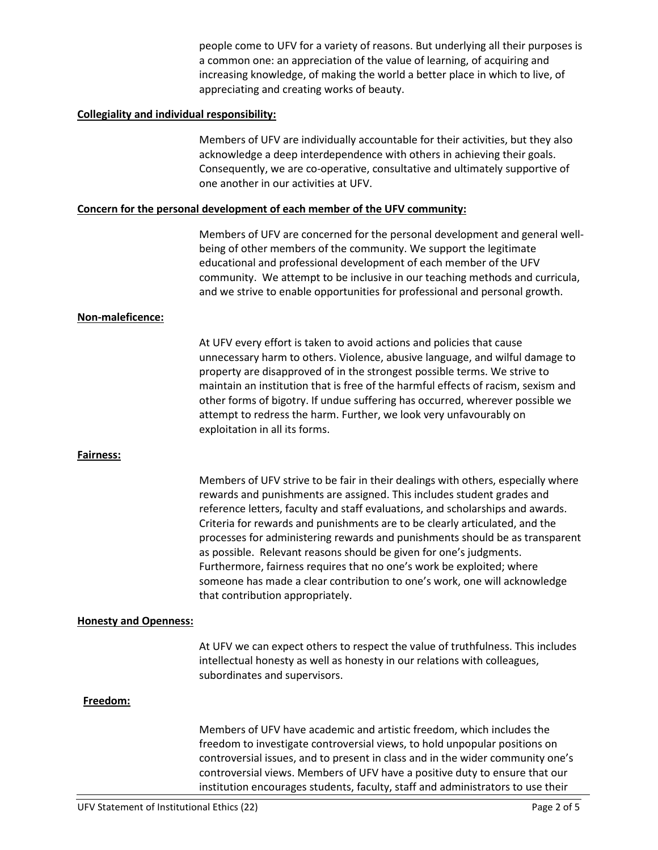people come to UFV for a variety of reasons. But underlying all their purposes is a common one: an appreciation of the value of learning, of acquiring and increasing knowledge, of making the world a better place in which to live, of appreciating and creating works of beauty.

### **Collegiality and individual responsibility:**

Members of UFV are individually accountable for their activities, but they also acknowledge a deep interdependence with others in achieving their goals. Consequently, we are co-operative, consultative and ultimately supportive of one another in our activities at UFV.

### **Concern for the personal development of each member of the UFV community:**

Members of UFV are concerned for the personal development and general wellbeing of other members of the community. We support the legitimate educational and professional development of each member of the UFV community. We attempt to be inclusive in our teaching methods and curricula, and we strive to enable opportunities for professional and personal growth.

### **Non-maleficence:**

At UFV every effort is taken to avoid actions and policies that cause unnecessary harm to others. Violence, abusive language, and wilful damage to property are disapproved of in the strongest possible terms. We strive to maintain an institution that is free of the harmful effects of racism, sexism and other forms of bigotry. If undue suffering has occurred, wherever possible we attempt to redress the harm. Further, we look very unfavourably on exploitation in all its forms.

### **Fairness:**

Members of UFV strive to be fair in their dealings with others, especially where rewards and punishments are assigned. This includes student grades and reference letters, faculty and staff evaluations, and scholarships and awards. Criteria for rewards and punishments are to be clearly articulated, and the processes for administering rewards and punishments should be as transparent as possible. Relevant reasons should be given for one's judgments. Furthermore, fairness requires that no one's work be exploited; where someone has made a clear contribution to one's work, one will acknowledge that contribution appropriately.

### **Honesty and Openness:**

At UFV we can expect others to respect the value of truthfulness. This includes intellectual honesty as well as honesty in our relations with colleagues, subordinates and supervisors.

### **Freedom:**

Members of UFV have academic and artistic freedom, which includes the freedom to investigate controversial views, to hold unpopular positions on controversial issues, and to present in class and in the wider community one's controversial views. Members of UFV have a positive duty to ensure that our institution encourages students, faculty, staff and administrators to use their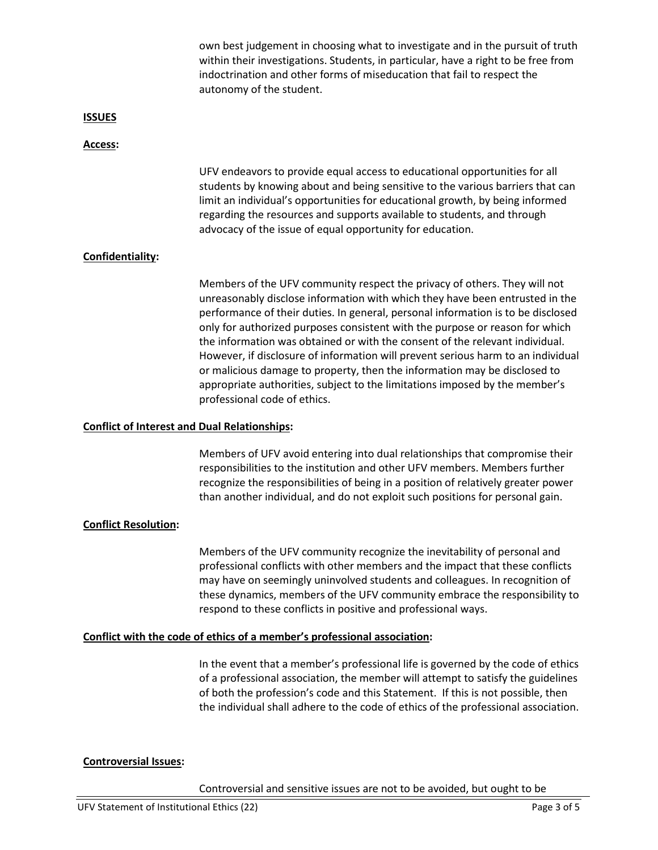own best judgement in choosing what to investigate and in the pursuit of truth within their investigations. Students, in particular, have a right to be free from indoctrination and other forms of miseducation that fail to respect the autonomy of the student.

### **ISSUES**

### **Access:**

UFV endeavors to provide equal access to educational opportunities for all students by knowing about and being sensitive to the various barriers that can limit an individual's opportunities for educational growth, by being informed regarding the resources and supports available to students, and through advocacy of the issue of equal opportunity for education.

## **Confidentiality:**

Members of the UFV community respect the privacy of others. They will not unreasonably disclose information with which they have been entrusted in the performance of their duties. In general, personal information is to be disclosed only for authorized purposes consistent with the purpose or reason for which the information was obtained or with the consent of the relevant individual. However, if disclosure of information will prevent serious harm to an individual or malicious damage to property, then the information may be disclosed to appropriate authorities, subject to the limitations imposed by the member's professional code of ethics.

### **Conflict of Interest and Dual Relationships:**

Members of UFV avoid entering into dual relationships that compromise their responsibilities to the institution and other UFV members. Members further recognize the responsibilities of being in a position of relatively greater power than another individual, and do not exploit such positions for personal gain.

## **Conflict Resolution:**

Members of the UFV community recognize the inevitability of personal and professional conflicts with other members and the impact that these conflicts may have on seemingly uninvolved students and colleagues. In recognition of these dynamics, members of the UFV community embrace the responsibility to respond to these conflicts in positive and professional ways.

### **Conflict with the code of ethics of a member's professional association:**

In the event that a member's professional life is governed by the code of ethics of a professional association, the member will attempt to satisfy the guidelines of both the profession's code and this Statement. If this is not possible, then the individual shall adhere to the code of ethics of the professional association.

## **Controversial Issues:**

Controversial and sensitive issues are not to be avoided, but ought to be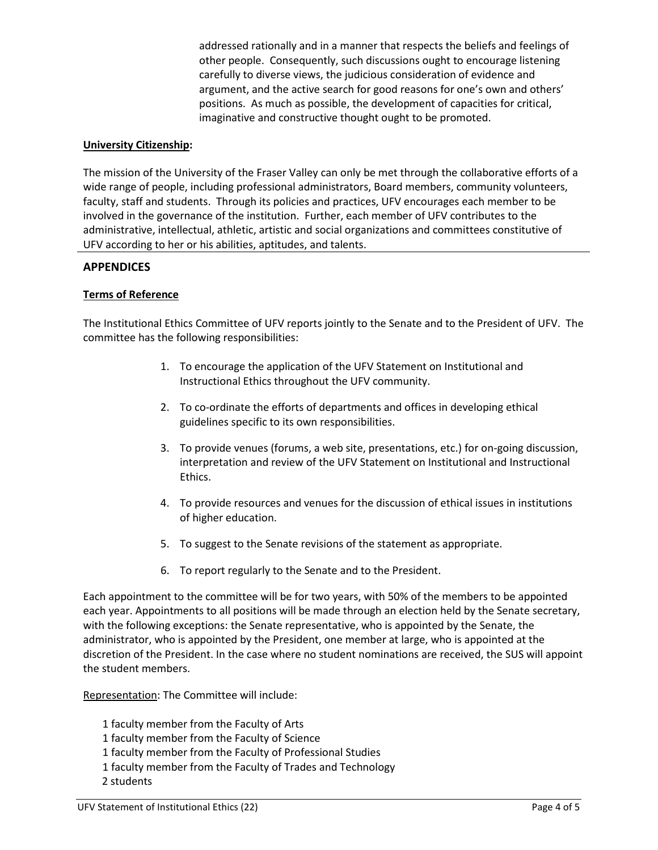addressed rationally and in a manner that respects the beliefs and feelings of other people. Consequently, such discussions ought to encourage listening carefully to diverse views, the judicious consideration of evidence and argument, and the active search for good reasons for one's own and others' positions. As much as possible, the development of capacities for critical, imaginative and constructive thought ought to be promoted.

# **University Citizenship:**

The mission of the University of the Fraser Valley can only be met through the collaborative efforts of a wide range of people, including professional administrators, Board members, community volunteers, faculty, staff and students. Through its policies and practices, UFV encourages each member to be involved in the governance of the institution. Further, each member of UFV contributes to the administrative, intellectual, athletic, artistic and social organizations and committees constitutive of UFV according to her or his abilities, aptitudes, and talents.

## **APPENDICES**

## **Terms of Reference**

The Institutional Ethics Committee of UFV reports jointly to the Senate and to the President of UFV. The committee has the following responsibilities:

- 1. To encourage the application of the UFV Statement on Institutional and Instructional Ethics throughout the UFV community.
- 2. To co-ordinate the efforts of departments and offices in developing ethical guidelines specific to its own responsibilities.
- 3. To provide venues (forums, a web site, presentations, etc.) for on-going discussion, interpretation and review of the UFV Statement on Institutional and Instructional Ethics.
- 4. To provide resources and venues for the discussion of ethical issues in institutions of higher education.
- 5. To suggest to the Senate revisions of the statement as appropriate.
- 6. To report regularly to the Senate and to the President.

Each appointment to the committee will be for two years, with 50% of the members to be appointed each year. Appointments to all positions will be made through an election held by the Senate secretary, with the following exceptions: the Senate representative, who is appointed by the Senate, the administrator, who is appointed by the President, one member at large, who is appointed at the discretion of the President. In the case where no student nominations are received, the SUS will appoint the student members.

Representation: The Committee will include:

- 1 faculty member from the Faculty of Arts
- 1 faculty member from the Faculty of Science
- 1 faculty member from the Faculty of Professional Studies
- 1 faculty member from the Faculty of Trades and Technology
- 2 students